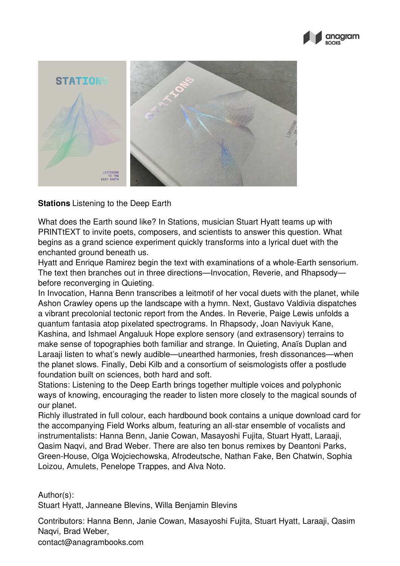



## **Stations** Listening to the Deep Earth

What does the Earth sound like? In Stations, musician Stuart Hyatt teams up with PRINTtEXT to invite poets, composers, and scientists to answer this question. What begins as a grand science experiment quickly transforms into a lyrical duet with the enchanted ground beneath us.

Hyatt and Enrique Ramirez begin the text with examinations of a whole-Earth sensorium. The text then branches out in three directions—Invocation, Reverie, and Rhapsody before reconverging in Quieting.

In Invocation, Hanna Benn transcribes a leitmotif of her vocal duets with the planet, while Ashon Crawley opens up the landscape with a hymn. Next, Gustavo Valdivia dispatches a vibrant precolonial tectonic report from the Andes. In Reverie, Paige Lewis unfolds a quantum fantasia atop pixelated spectrograms. In Rhapsody, Joan Naviyuk Kane, Kashina, and Ishmael Angaluuk Hope explore sensory (and extrasensory) terrains to make sense of topographies both familiar and strange. In Quieting, Anaïs Duplan and Laraaji listen to what's newly audible—unearthed harmonies, fresh dissonances—when the planet slows. Finally, Debi Kilb and a consortium of seismologists offer a postlude foundation built on sciences, both hard and soft.

Stations: Listening to the Deep Earth brings together multiple voices and polyphonic ways of knowing, encouraging the reader to listen more closely to the magical sounds of our planet.

Richly illustrated in full colour, each hardbound book contains a unique download card for the accompanying Field Works album, featuring an all-star ensemble of vocalists and instrumentalists: Hanna Benn, Janie Cowan, Masayoshi Fujita, Stuart Hyatt, Laraaji, Qasim Naqvi, and Brad Weber. There are also ten bonus remixes by Deantoni Parks, Green-House, Olga Wojciechowska, Afrodeutsche, Nathan Fake, Ben Chatwin, Sophia Loizou, Amulets, Penelope Trappes, and Alva Noto.

Author(s):

Stuart Hyatt, Janneane Blevins, Willa Benjamin Blevins

Contributors: Hanna Benn, Janie Cowan, Masayoshi Fujita, Stuart Hyatt, Laraaji, Qasim Naqvi, Brad Weber,

contact@anagrambooks.com